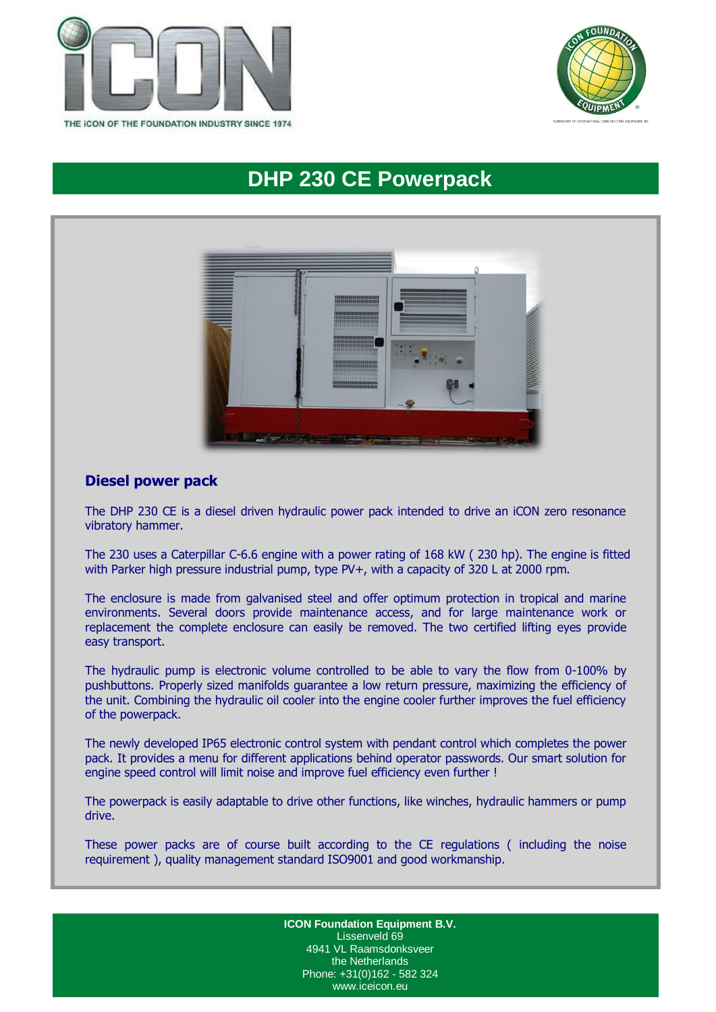



# **DHP 230 CE Powerpack**



# **Diesel power pack**

The DHP 230 CE is a diesel driven hydraulic power pack intended to drive an iCON zero resonance vibratory hammer.

The 230 uses a Caterpillar C-6.6 engine with a power rating of 168 kW ( 230 hp). The engine is fitted with Parker high pressure industrial pump, type PV+, with a capacity of 320 L at 2000 rpm.

The enclosure is made from galvanised steel and offer optimum protection in tropical and marine environments. Several doors provide maintenance access, and for large maintenance work or replacement the complete enclosure can easily be removed. The two certified lifting eyes provide easy transport.

The hydraulic pump is electronic volume controlled to be able to vary the flow from 0-100% by pushbuttons. Properly sized manifolds guarantee a low return pressure, maximizing the efficiency of the unit. Combining the hydraulic oil cooler into the engine cooler further improves the fuel efficiency of the powerpack.

The newly developed IP65 electronic control system with pendant control which completes the power pack. It provides a menu for different applications behind operator passwords. Our smart solution for engine speed control will limit noise and improve fuel efficiency even further !

The powerpack is easily adaptable to drive other functions, like winches, hydraulic hammers or pump drive.

These power packs are of course built according to the CE regulations ( including the noise requirement ), quality management standard ISO9001 and good workmanship.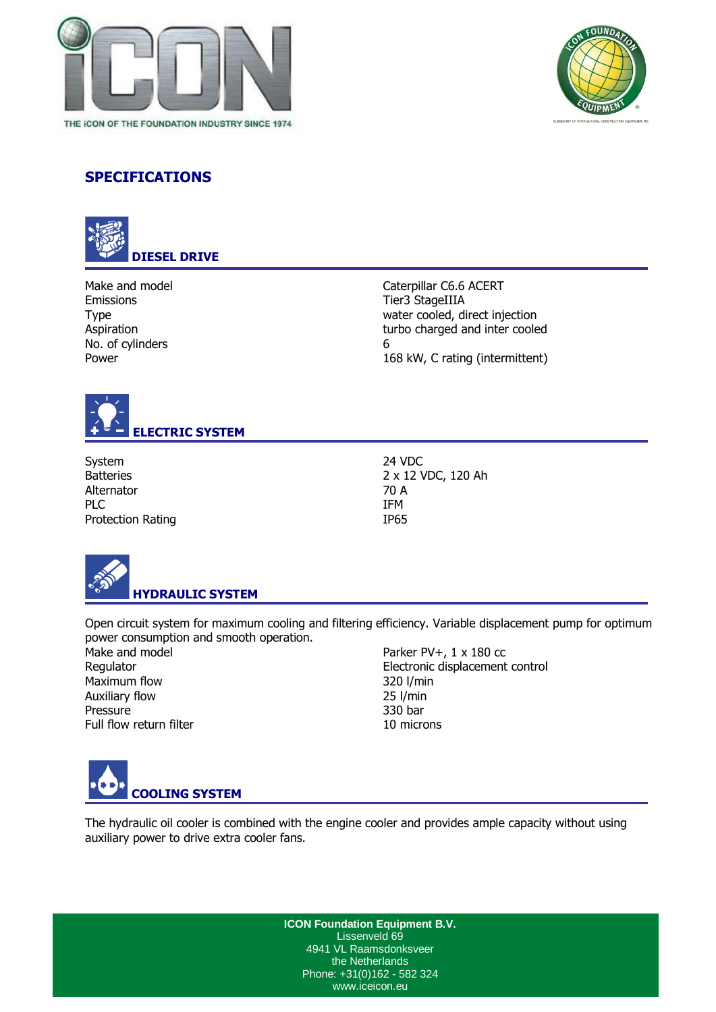



# **SPECIFICATIONS**



Make and model and model and model caterpillar C6.6 ACERT Emissions Tier3 StageIIIA No. of cylinders 6

Type water cooled, direct injection Aspiration turbo charged and inter cooled Power 2008 and 2009 and 2008 and 2008 and 2008 kW, C rating (intermittent)



System 24 VDC Alternator 70 A PLC THE IFM Protection Rating IP65

Batteries 2 x 12 VDC, 120 Ah



Open circuit system for maximum cooling and filtering efficiency. Variable displacement pump for optimum power consumption and smooth operation.

Maximum flow 320 l/min Auxiliary flow 25 l/min Pressure 330 bar Full flow return filter and the 10 microns

Make and model Parker PV+, 1 x 180 cc Regulator **Electronic displacement control** 



The hydraulic oil cooler is combined with the engine cooler and provides ample capacity without using auxiliary power to drive extra cooler fans.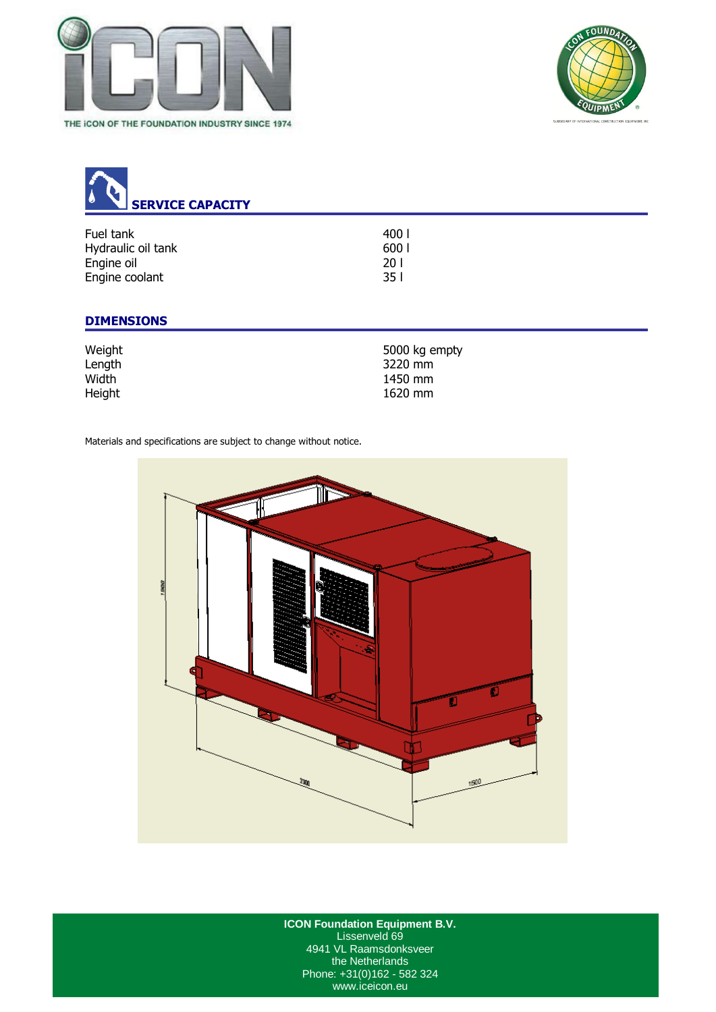



| ٠<br><b>SERVICE CAPACITY</b> |                 |  |
|------------------------------|-----------------|--|
| Fuel tank                    | 400 l           |  |
| Hydraulic oil tank           | 600             |  |
| Engine oil                   | 20 <sub>1</sub> |  |
| Engine coolant               | 351             |  |
|                              |                 |  |

# **DIMENSIONS**

| Weight | 5000 kg empty |
|--------|---------------|
| Length | 3220 mm       |
| Width  | 1450 mm       |
| Height | 1620 mm       |

Materials and specifications are subject to change without notice.